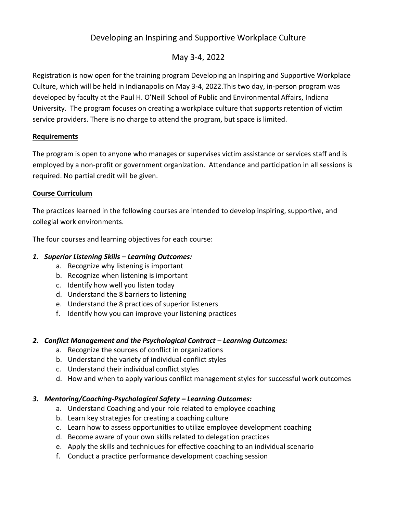## Developing an Inspiring and Supportive Workplace Culture

### May 3-4, 2022

Registration is now open for the training program Developing an Inspiring and Supportive Workplace Culture, which will be held in Indianapolis on May 3-4, 2022.This two day, in-person program was developed by faculty at the Paul H. O'Neill School of Public and Environmental Affairs, Indiana University. The program focuses on creating a workplace culture that supports retention of victim service providers. There is no charge to attend the program, but space is limited.

#### **Requirements**

The program is open to anyone who manages or supervises victim assistance or services staff and is employed by a non-profit or government organization. Attendance and participation in all sessions is required. No partial credit will be given.

#### **Course Curriculum**

The practices learned in the following courses are intended to develop inspiring, supportive, and collegial work environments.

The four courses and learning objectives for each course:

#### *1. Superior Listening Skills – Learning Outcomes:*

- a. Recognize why listening is important
- b. Recognize when listening is important
- c. Identify how well you listen today
- d. Understand the 8 barriers to listening
- e. Understand the 8 practices of superior listeners
- f. Identify how you can improve your listening practices

#### *2. Conflict Management and the Psychological Contract – Learning Outcomes:*

- a. Recognize the sources of conflict in organizations
- b. Understand the variety of individual conflict styles
- c. Understand their individual conflict styles
- d. How and when to apply various conflict management styles for successful work outcomes

#### *3. Mentoring/Coaching-Psychological Safety – Learning Outcomes:*

- a. Understand Coaching and your role related to employee coaching
- b. Learn key strategies for creating a coaching culture
- c. Learn how to assess opportunities to utilize employee development coaching
- d. Become aware of your own skills related to delegation practices
- e. Apply the skills and techniques for effective coaching to an individual scenario
- f. Conduct a practice performance development coaching session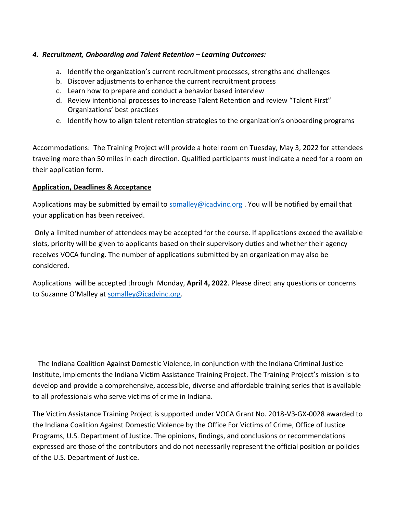#### *4. Recruitment, Onboarding and Talent Retention – Learning Outcomes:*

- a. Identify the organization's current recruitment processes, strengths and challenges
- b. Discover adjustments to enhance the current recruitment process
- c. Learn how to prepare and conduct a behavior based interview
- d. Review intentional processes to increase Talent Retention and review "Talent First" Organizations' best practices
- e. Identify how to align talent retention strategies to the organization's onboarding programs

Accommodations: The Training Project will provide a hotel room on Tuesday, May 3, 2022 for attendees traveling more than 50 miles in each direction. Qualified participants must indicate a need for a room on their application form.

#### **Application, Deadlines & Acceptance**

Applications may be submitted by email to [somalley@icadvinc.org](mailto:somalley@icadvinc.org) . You will be notified by email that your application has been received.

Only a limited number of attendees may be accepted for the course. If applications exceed the available slots, priority will be given to applicants based on their supervisory duties and whether their agency receives VOCA funding. The number of applications submitted by an organization may also be considered.

Applications will be accepted through Monday, **April 4, 2022**. Please direct any questions or concerns to Suzanne O'Malley at [somalley@icadvinc.org.](mailto:somalley@icadvinc.org)

 The Indiana Coalition Against Domestic Violence, in conjunction with the Indiana Criminal Justice Institute, implements the Indiana Victim Assistance Training Project. The Training Project's mission is to develop and provide a comprehensive, accessible, diverse and affordable training series that is available to all professionals who serve victims of crime in Indiana.

The Victim Assistance Training Project is supported under VOCA Grant No. 2018-V3-GX-0028 awarded to the Indiana Coalition Against Domestic Violence by the Office For Victims of Crime, Office of Justice Programs, U.S. Department of Justice. The opinions, findings, and conclusions or recommendations expressed are those of the contributors and do not necessarily represent the official position or policies of the U.S. Department of Justice.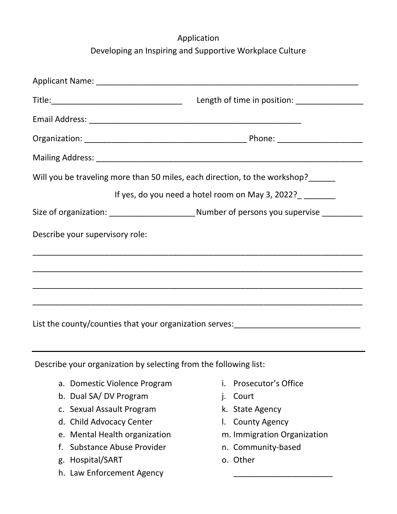# Application Developing an Inspiring and Supportive Workplace Culture

|                                 | Length of time in position: ___________________                                                 |
|---------------------------------|-------------------------------------------------------------------------------------------------|
|                                 |                                                                                                 |
|                                 |                                                                                                 |
|                                 |                                                                                                 |
|                                 | Will you be traveling more than 50 miles, each direction, to the workshop?_____                 |
|                                 | If yes, do you need a hotel room on May 3, 2022?                                                |
|                                 | Size of organization: _______________________________Number of persons you supervise __________ |
| Describe your supervisory role: |                                                                                                 |
|                                 | ,我们也不能在这里的时候,我们也不能在这里的时候,我们也不能会在这里的时候,我们也不能会在这里的时候,我们也不能会在这里的时候,我们也不能会在这里的时候,我们也                |
|                                 |                                                                                                 |
|                                 |                                                                                                 |
|                                 | List the county/counties that your organization serves:_________________________                |

Describe your organization by selecting from the following list:

- a. Domestic Violence Program
- b. Dual SA/ DV Program
- c. Sexual Assault Program
- d. Child Advocacy Center
- e. Mental Health organization
- f. Substance Abuse Provider
- g. Hospital/SART
- h. Law Enforcement Agency
- i. Prosecutor's Office
- j. Court
- k. State Agency
- l. County Agency
- m. Immigration Organization

\_\_\_\_\_\_\_\_\_\_\_\_\_\_\_\_\_\_\_\_\_\_

- n. Community-based
- o. Other